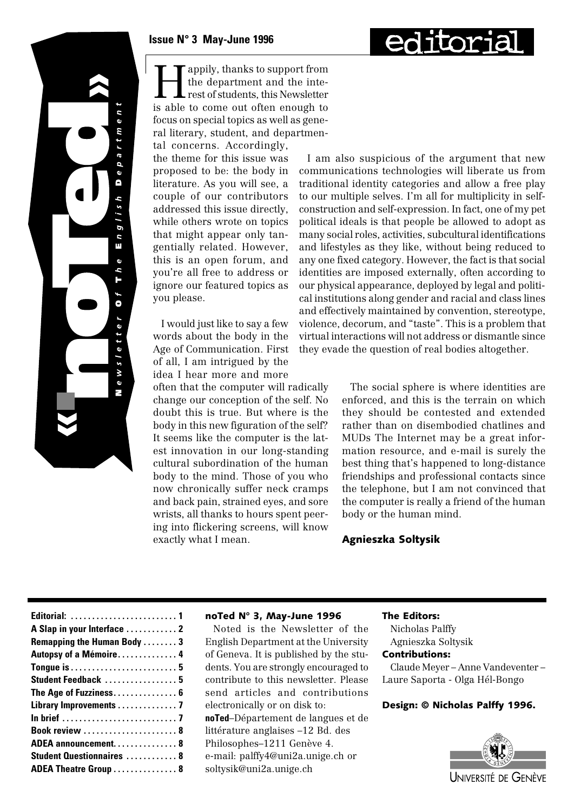

 $\ddot{\text{o}}$ m r t  $\sigma$  $\overline{a}$  $\ddot{\text{o}}$  $\blacksquare$ b  $\frac{1}{s}$  $\overline{9}$  $\overline{c}$ π  $\ddot{\mathbf{v}}$ h H  $\bullet$  $\ddot{\text{o}}$  $\frac{1}{2}$  $\overline{\phantom{0}}$ М  $\ddot{\text{o}}$ ÷.

**Happily, thanks to support from<br>the department and the interest of students, this Newsletter<br>is able to some out often apough to** the department and the interest of students, this Newsletter is able to come out often enough to focus on special topics as well as general literary, student, and departmental concerns. Accordingly,

the theme for this issue was proposed to be: the body in literature. As you will see, a couple of our contributors addressed this issue directly, while others wrote on topics that might appear only tangentially related. However, this is an open forum, and you're all free to address or ignore our featured topics as you please.

I would just like to say a few words about the body in the Age of Communication. First of all, I am intrigued by the idea I hear more and more

often that the computer will radically change our conception of the self. No doubt this is true. But where is the body in this new figuration of the self? It seems like the computer is the latest innovation in our long-standing cultural subordination of the human body to the mind. Those of you who now chronically suffer neck cramps and back pain, strained eyes, and sore wrists, all thanks to hours spent peering into flickering screens, will know exactly what I mean.

I am also suspicious of the argument that new communications technologies will liberate us from traditional identity categories and allow a free play to our multiple selves. I'm all for multiplicity in selfconstruction and self-expression. In fact, one of my pet political ideals is that people be allowed to adopt as many social roles, activities, subcultural identifications and lifestyles as they like, without being reduced to any one fixed category. However, the fact is that social identities are imposed externally, often according to our physical appearance, deployed by legal and political institutions along gender and racial and class lines and effectively maintained by convention, stereotype, violence, decorum, and "taste". This is a problem that virtual interactions will not address or dismantle since they evade the question of real bodies altogether.

> The social sphere is where identities are enforced, and this is the terrain on which they should be contested and extended rather than on disembodied chatlines and MUDs The Internet may be a great information resource, and e-mail is surely the best thing that's happened to long-distance friendships and professional contacts since the telephone, but I am not convinced that the computer is really a friend of the human body or the human mind.

#### Agnieszka Soltysik

#### noTed N° 3, May-June 1996

Noted is the Newsletter of the English Department at the University of Geneva. It is published by the students. You are strongly encouraged to contribute to this newsletter. Please send articles and contributions electronically or on disk to: **noTed**–Département de langues et de littérature anglaises –12 Bd. des Philosophes–1211 Genève 4. e-mail: palffy4@uni2a.unige.ch or soltysik@uni2a.unige.ch

#### The Editors:

Nicholas Palffy Agnieszka Soltysik

### Contributions:

Claude Meyer – Anne Vandeventer – Laure Saporta - Olga Hél-Bongo

#### Design: © Nicholas Palffy 1996.

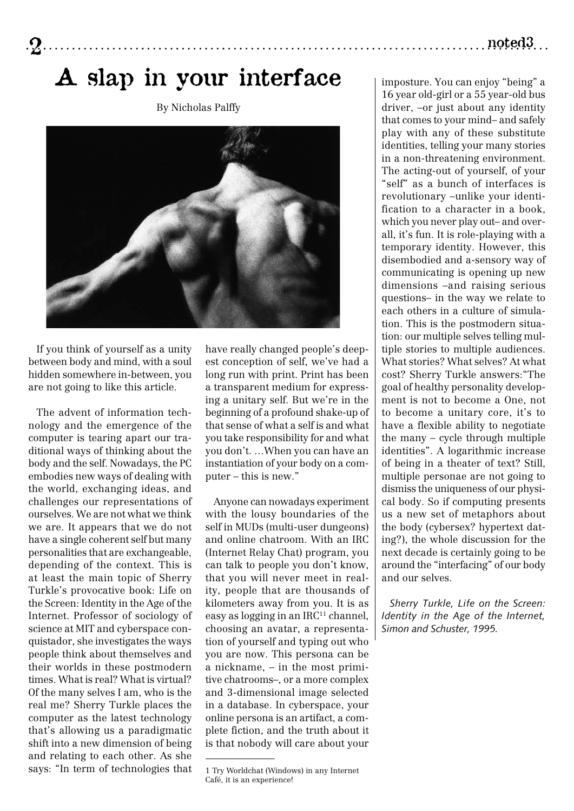### A slap in your interface

By Nicholas Palffy



If you think of yourself as a unity between body and mind, with a soul hidden somewhere in-between, you are not going to like this article.

The advent of information technology and the emergence of the computer is tearing apart our traditional ways of thinking about the body and the self. Nowadays, the PC embodies new ways of dealing with the world, exchanging ideas, and challenges our representations of ourselves. We are not what we think we are. It appears that we do not have a single coherent self but many personalities that are exchangeable, depending of the context. This is at least the main topic of Sherry Turkle's provocative book: Life on the Screen: Identity in the Age of the Internet. Professor of sociology of science at MIT and cyberspace conquistador, she investigates the ways people think about themselves and their worlds in these postmodern times. What is real? What is virtual? Of the many selves I am, who is the real me? Sherry Turkle places the computer as the latest technology that's allowing us a paradigmatic shift into a new dimension of being and relating to each other. As she says: "In term of technologies that

have really changed people's deepest conception of self, we've had a long run with print. Print has been a transparent medium for expressing a unitary self. But we're in the beginning of a profound shake-up of that sense of what a self is and what you take responsibility for and what you don't. …When you can have an instantiation of your body on a computer – this is new."

Anyone can nowadays experiment with the lousy boundaries of the self in MUDs (multi-user dungeons) and online chatroom. With an IRC (Internet Relay Chat) program, you can talk to people you don't know, that you will never meet in reality, people that are thousands of kilometers away from you. It is as easy as logging in an IRC<sup>11</sup> channel, choosing an avatar, a representation of yourself and typing out who you are now. This persona can be a nickname, – in the most primitive chatrooms–, or a more complex and 3-dimensional image selected in a database. In cyberspace, your online persona is an artifact, a complete fiction, and the truth about it is that nobody will care about your imposture. You can enjoy "being" a 16 year old-girl or a 55 year-old bus driver, –or just about any identity that comes to your mind– and safely play with any of these substitute identities, telling your many stories in a non-threatening environment. The acting-out of yourself, of your "self" as a bunch of interfaces is revolutionary –unlike your identification to a character in a book, which you never play out– and overall, it's fun. It is role-playing with a temporary identity. However, this disembodied and a-sensory way of communicating is opening up new dimensions –and raising serious questions– in the way we relate to each others in a culture of simulation. This is the postmodern situation: our multiple selves telling multiple stories to multiple audiences. What stories? What selves? At what cost? Sherry Turkle answers:"The goal of healthy personality development is not to become a One, not to become a unitary core, it's to have a flexible ability to negotiate the many – cycle through multiple identities". A logarithmic increase of being in a theater of text? Still, multiple personae are not going to dismiss the uniqueness of our physical body. So if computing presents us a new set of metaphors about the body (cybersex? hypertext dating?), the whole discussion for the next decade is certainly going to be around the "interfacing" of our body and our selves.

*Sherry Turkle, Life on the Screen: Identity in the Age of the Internet, Simon and Schuster, 1995.*

### $\mathbf 2$

<sup>1</sup> Try Worldchat (Windows) in any Internet Café, it is an experience!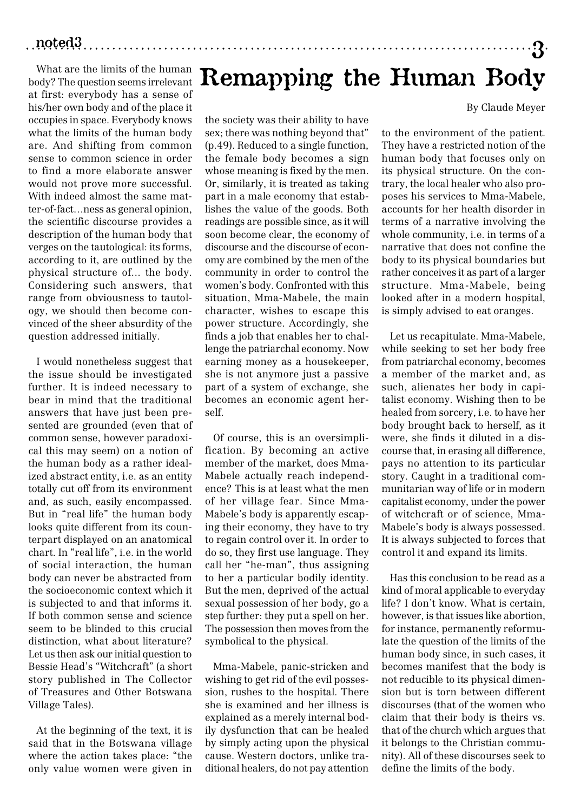### 3 noted3

What are the limits of the human body? The question seems irrelevant at first: everybody has a sense of his/her own body and of the place it occupies in space. Everybody knows what the limits of the human body are. And shifting from common sense to common science in order to find a more elaborate answer would not prove more successful. With indeed almost the same matter-of-fact…ness as general opinion, the scientific discourse provides a description of the human body that verges on the tautological: its forms, according to it, are outlined by the physical structure of... the body. Considering such answers, that range from obviousness to tautology, we should then become convinced of the sheer absurdity of the question addressed initially.

I would nonetheless suggest that the issue should be investigated further. It is indeed necessary to bear in mind that the traditional answers that have just been presented are grounded (even that of common sense, however paradoxical this may seem) on a notion of the human body as a rather idealized abstract entity, i.e. as an entity totally cut off from its environment and, as such, easily encompassed. But in "real life" the human body looks quite different from its counterpart displayed on an anatomical chart. In "real life", i.e. in the world of social interaction, the human body can never be abstracted from the socioeconomic context which it is subjected to and that informs it. If both common sense and science seem to be blinded to this crucial distinction, what about literature? Let us then ask our initial question to Bessie Head's "Witchcraft" (a short story published in The Collector of Treasures and Other Botswana Village Tales).

At the beginning of the text, it is said that in the Botswana village where the action takes place: "the only value women were given in

# Remapping the Human Body

the society was their ability to have sex; there was nothing beyond that" (p.49). Reduced to a single function, the female body becomes a sign whose meaning is fixed by the men. Or, similarly, it is treated as taking part in a male economy that establishes the value of the goods. Both readings are possible since, as it will soon become clear, the economy of discourse and the discourse of economy are combined by the men of the community in order to control the women's body. Confronted with this situation, Mma-Mabele, the main character, wishes to escape this power structure. Accordingly, she finds a job that enables her to challenge the patriarchal economy. Now earning money as a housekeeper, she is not anymore just a passive part of a system of exchange, she becomes an economic agent herself.

Of course, this is an oversimplification. By becoming an active member of the market, does Mma-Mabele actually reach independence? This is at least what the men of her village fear. Since Mma-Mabele's body is apparently escaping their economy, they have to try to regain control over it. In order to do so, they first use language. They call her "he-man", thus assigning to her a particular bodily identity. But the men, deprived of the actual sexual possession of her body, go a step further: they put a spell on her. The possession then moves from the symbolical to the physical.

Mma-Mabele, panic-stricken and wishing to get rid of the evil possession, rushes to the hospital. There she is examined and her illness is explained as a merely internal bodily dysfunction that can be healed by simply acting upon the physical cause. Western doctors, unlike traditional healers, do not pay attention

By Claude Meyer

to the environment of the patient. They have a restricted notion of the human body that focuses only on its physical structure. On the contrary, the local healer who also proposes his services to Mma-Mabele, accounts for her health disorder in terms of a narrative involving the whole community, i.e. in terms of a narrative that does not confine the body to its physical boundaries but rather conceives it as part of a larger structure. Mma-Mabele, being looked after in a modern hospital, is simply advised to eat oranges.

Let us recapitulate. Mma-Mabele, while seeking to set her body free from patriarchal economy, becomes a member of the market and, as such, alienates her body in capitalist economy. Wishing then to be healed from sorcery, i.e. to have her body brought back to herself, as it were, she finds it diluted in a discourse that, in erasing all difference, pays no attention to its particular story. Caught in a traditional communitarian way of life or in modern capitalist economy, under the power of witchcraft or of science, Mma-Mabele's body is always possessed. It is always subjected to forces that control it and expand its limits.

Has this conclusion to be read as a kind of moral applicable to everyday life? I don't know. What is certain, however, is that issues like abortion, for instance, permanently reformulate the question of the limits of the human body since, in such cases, it becomes manifest that the body is not reducible to its physical dimension but is torn between different discourses (that of the women who claim that their body is theirs vs. that of the church which argues that it belongs to the Christian community). All of these discourses seek to define the limits of the body.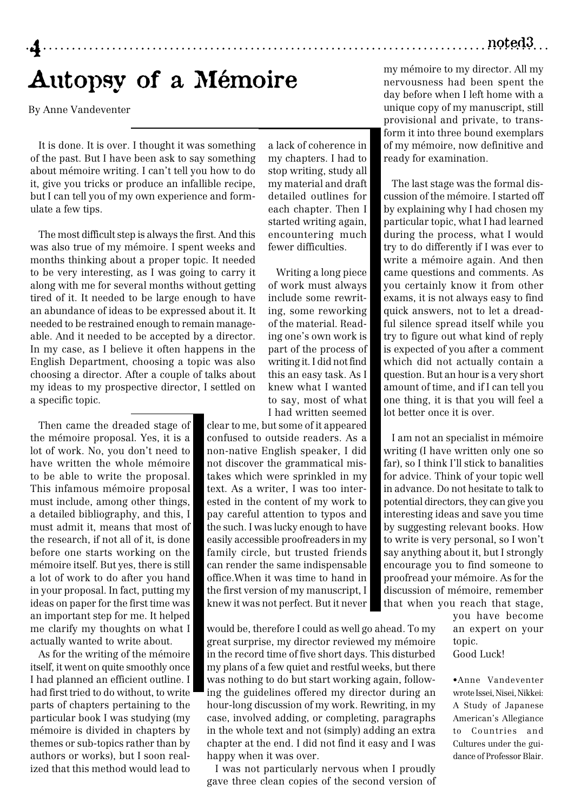### noted3

# Autopsy of a Mémoire

By Anne Vandeventer

4

It is done. It is over. I thought it was something of the past. But I have been ask to say something about mémoire writing. I can't tell you how to do it, give you tricks or produce an infallible recipe, but I can tell you of my own experience and formulate a few tips.

The most difficult step is always the first. And this was also true of my mémoire. I spent weeks and months thinking about a proper topic. It needed to be very interesting, as I was going to carry it along with me for several months without getting tired of it. It needed to be large enough to have an abundance of ideas to be expressed about it. It needed to be restrained enough to remain manageable. And it needed to be accepted by a director. In my case, as I believe it often happens in the English Department, choosing a topic was also choosing a director. After a couple of talks about my ideas to my prospective director, I settled on a specific topic.

Then came the dreaded stage of the mémoire proposal. Yes, it is a lot of work. No, you don't need to have written the whole mémoire to be able to write the proposal. This infamous mémoire proposal must include, among other things, a detailed bibliography, and this, I must admit it, means that most of the research, if not all of it, is done before one starts working on the mémoire itself. But yes, there is still a lot of work to do after you hand in your proposal. In fact, putting my ideas on paper for the first time was an important step for me. It helped me clarify my thoughts on what I actually wanted to write about.

As for the writing of the mémoire itself, it went on quite smoothly once I had planned an efficient outline. I had first tried to do without, to write parts of chapters pertaining to the particular book I was studying (my mémoire is divided in chapters by themes or sub-topics rather than by authors or works), but I soon realized that this method would lead to

a lack of coherence in my chapters. I had to stop writing, study all my material and draft detailed outlines for each chapter. Then I started writing again, encountering much fewer difficulties.

Writing a long piece of work must always include some rewriting, some reworking of the material. Reading one's own work is part of the process of writing it. I did not find this an easy task. As I knew what I wanted to say, most of what I had written seemed

clear to me, but some of it appeared confused to outside readers. As a non-native English speaker, I did not discover the grammatical mistakes which were sprinkled in my text. As a writer, I was too interested in the content of my work to pay careful attention to typos and the such. I was lucky enough to have easily accessible proofreaders in my family circle, but trusted friends can render the same indispensable office.When it was time to hand in the first version of my manuscript, I knew it was not perfect. But it never

would be, therefore I could as well go ahead. To my great surprise, my director reviewed my mémoire in the record time of five short days. This disturbed my plans of a few quiet and restful weeks, but there was nothing to do but start working again, following the guidelines offered my director during an hour-long discussion of my work. Rewriting, in my case, involved adding, or completing, paragraphs in the whole text and not (simply) adding an extra chapter at the end. I did not find it easy and I was happy when it was over.

I was not particularly nervous when I proudly gave three clean copies of the second version of

my mémoire to my director. All my nervousness had been spent the day before when I left home with a unique copy of my manuscript, still provisional and private, to transform it into three bound exemplars of my mémoire, now definitive and ready for examination.

The last stage was the formal discussion of the mémoire. I started off by explaining why I had chosen my particular topic, what I had learned during the process, what I would try to do differently if I was ever to write a mémoire again. And then came questions and comments. As you certainly know it from other exams, it is not always easy to find quick answers, not to let a dreadful silence spread itself while you try to figure out what kind of reply is expected of you after a comment which did not actually contain a question. But an hour is a very short amount of time, and if I can tell you one thing, it is that you will feel a lot better once it is over.

I am not an specialist in mémoire writing (I have written only one so far), so I think I'll stick to banalities for advice. Think of your topic well in advance. Do not hesitate to talk to potential directors, they can give you interesting ideas and save you time by suggesting relevant books. How to write is very personal, so I won't say anything about it, but I strongly encourage you to find someone to proofread your mémoire. As for the discussion of mémoire, remember that when you reach that stage,

> you have become an expert on your topic. Good Luck!

•Anne Vandeventer wrote Issei, Nisei, Nikkei: A Study of Japanese American's Allegiance to Countries and Cultures under the guidance of Professor Blair.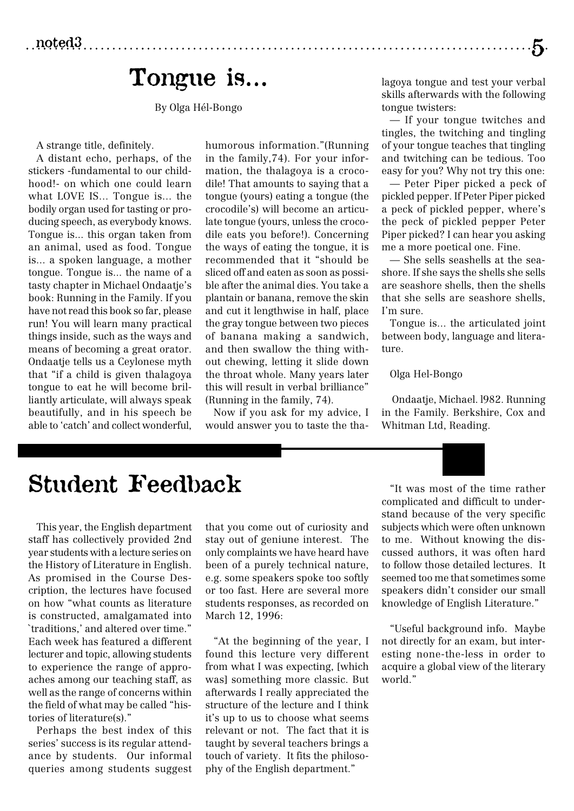### Tongue is…

By Olga Hél-Bongo

A strange title, definitely.

A distant echo, perhaps, of the stickers -fundamental to our childhood!- on which one could learn what LOVE IS... Tongue is... the bodily organ used for tasting or producing speech, as everybody knows. Tongue is... this organ taken from an animal, used as food. Tongue is... a spoken language, a mother tongue. Tongue is... the name of a tasty chapter in Michael Ondaatje's book: Running in the Family. If you have not read this book so far, please run! You will learn many practical things inside, such as the ways and means of becoming a great orator. Ondaatje tells us a Ceylonese myth that "if a child is given thalagoya tongue to eat he will become brilliantly articulate, will always speak beautifully, and in his speech be able to 'catch' and collect wonderful,

humorous information."(Running in the family,74). For your information, the thalagoya is a crocodile! That amounts to saying that a tongue (yours) eating a tongue (the crocodile's) will become an articulate tongue (yours, unless the crocodile eats you before!). Concerning the ways of eating the tongue, it is recommended that it "should be sliced off and eaten as soon as possible after the animal dies. You take a plantain or banana, remove the skin and cut it lengthwise in half, place the gray tongue between two pieces of banana making a sandwich, and then swallow the thing without chewing, letting it slide down the throat whole. Many years later this will result in verbal brilliance" (Running in the family, 74).

Now if you ask for my advice, I would answer you to taste the thalagoya tongue and test your verbal skills afterwards with the following tongue twisters:

 $\cdot 5$ 

— If your tongue twitches and tingles, the twitching and tingling of your tongue teaches that tingling and twitching can be tedious. Too easy for you? Why not try this one:

— Peter Piper picked a peck of pickled pepper. If Peter Piper picked a peck of pickled pepper, where's the peck of pickled pepper Peter Piper picked? I can hear you asking me a more poetical one. Fine.

— She sells seashells at the seashore. If she says the shells she sells are seashore shells, then the shells that she sells are seashore shells, I'm sure.

Tongue is... the articulated joint between body, language and literature.

Olga Hel-Bongo

 Ondaatje, Michael. l982. Running in the Family. Berkshire, Cox and Whitman Ltd, Reading.

## Student Feedback

This year, the English department staff has collectively provided 2nd year students with a lecture series on the History of Literature in English. As promised in the Course Description, the lectures have focused on how "what counts as literature is constructed, amalgamated into `traditions,' and altered over time." Each week has featured a different lecturer and topic, allowing students to experience the range of approaches among our teaching staff, as well as the range of concerns within the field of what may be called "histories of literature(s)."

Perhaps the best index of this series' success is its regular attendance by students. Our informal queries among students suggest

that you come out of curiosity and stay out of geniune interest. The only complaints we have heard have been of a purely technical nature, e.g. some speakers spoke too softly or too fast. Here are several more students responses, as recorded on March 12, 1996:

"At the beginning of the year, I found this lecture very different from what I was expecting, [which was] something more classic. But afterwards I really appreciated the structure of the lecture and I think it's up to us to choose what seems relevant or not. The fact that it is taught by several teachers brings a touch of variety. It fits the philosophy of the English department."

"It was most of the time rather complicated and difficult to understand because of the very specific subjects which were often unknown to me. Without knowing the discussed authors, it was often hard to follow those detailed lectures. It seemed too me that sometimes some speakers didn't consider our small knowledge of English Literature."

"Useful background info. Maybe not directly for an exam, but interesting none-the-less in order to acquire a global view of the literary world."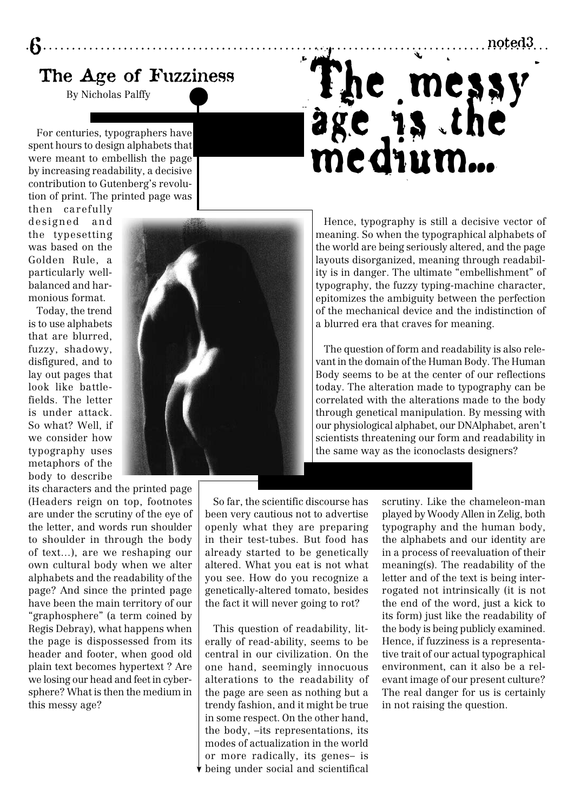### The Age of Fuzziness

By Nicholas Palffy

For centuries, typographers have spent hours to design alphabets that were meant to embellish the page by increasing readability, a decisive contribution to Gutenberg's revolution of print. The printed page was

then carefully designed and the typesetting was based on the Golden Rule, a particularly wellbalanced and harmonious format.

6

Today, the trend is to use alphabets that are blurred, fuzzy, shadowy, disfigured, and to lay out pages that look like battlefields. The letter is under attack. So what? Well, if we consider how typography uses metaphors of the body to describe

its characters and the printed page (Headers reign on top, footnotes are under the scrutiny of the eye of the letter, and words run shoulder to shoulder in through the body of text…), are we reshaping our own cultural body when we alter alphabets and the readability of the page? And since the printed page have been the main territory of our "graphosphere" (a term coined by Regis Debray), what happens when the page is dispossessed from its header and footer, when good old plain text becomes hypertext ? Are we losing our head and feet in cybersphere? What is then the medium in this messy age?



Hence, typography is still a decisive vector of meaning. So when the typographical alphabets of the world are being seriously altered, and the page layouts disorganized, meaning through readability is in danger. The ultimate "embellishment" of typography, the fuzzy typing-machine character, epitomizes the ambiguity between the perfection of the mechanical device and the indistinction of a blurred era that craves for meaning.

The messy

age is the medium...

The question of form and readability is also relevant in the domain of the Human Body. The Human Body seems to be at the center of our reflections today. The alteration made to typography can be correlated with the alterations made to the body through genetical manipulation. By messing with our physiological alphabet, our DNAlphabet, aren't scientists threatening our form and readability in the same way as the iconoclasts designers?

So far, the scientific discourse has been very cautious not to advertise openly what they are preparing in their test-tubes. But food has already started to be genetically altered. What you eat is not what you see. How do you recognize a genetically-altered tomato, besides the fact it will never going to rot?

This question of readability, literally of read-ability, seems to be central in our civilization. On the one hand, seemingly innocuous alterations to the readability of the page are seen as nothing but a trendy fashion, and it might be true in some respect. On the other hand, the body, –its representations, its modes of actualization in the world or more radically, its genes– is being under social and scientifical

scrutiny. Like the chameleon-man played by Woody Allen in Zelig, both typography and the human body, the alphabets and our identity are in a process of reevaluation of their meaning(s). The readability of the letter and of the text is being interrogated not intrinsically (it is not the end of the word, just a kick to its form) just like the readability of the body is being publicly examined. Hence, if fuzziness is a representative trait of our actual typographical environment, can it also be a relevant image of our present culture? The real danger for us is certainly in not raising the question.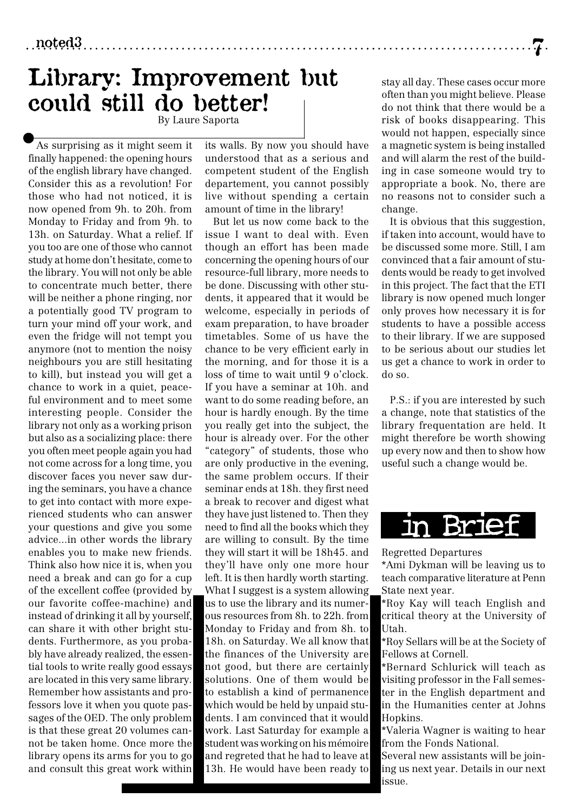noted3 7

### Library: Improvement but could still do better! By Laure Saporta

As surprising as it might seem it finally happened: the opening hours of the english library have changed. Consider this as a revolution! For those who had not noticed, it is now opened from 9h. to 20h. from Monday to Friday and from 9h. to 13h. on Saturday. What a relief. If you too are one of those who cannot study at home don't hesitate, come to the library. You will not only be able to concentrate much better, there will be neither a phone ringing, nor a potentially good TV program to turn your mind off your work, and even the fridge will not tempt you anymore (not to mention the noisy neighbours you are still hesitating to kill), but instead you will get a chance to work in a quiet, peaceful environment and to meet some interesting people. Consider the library not only as a working prison but also as a socializing place: there you often meet people again you had not come across for a long time, you discover faces you never saw during the seminars, you have a chance to get into contact with more experienced students who can answer your questions and give you some advice...in other words the library enables you to make new friends. Think also how nice it is, when you need a break and can go for a cup of the excellent coffee (provided by our favorite coffee-machine) and instead of drinking it all by yourself, can share it with other bright students. Furthermore, as you probably have already realized, the essential tools to write really good essays are located in this very same library. Remember how assistants and professors love it when you quote passages of the OED. The only problem is that these great 20 volumes cannot be taken home. Once more the library opens its arms for you to go and consult this great work within

its walls. By now you should have understood that as a serious and competent student of the English departement, you cannot possibly live without spending a certain amount of time in the library!

But let us now come back to the issue I want to deal with. Even though an effort has been made concerning the opening hours of our resource-full library, more needs to be done. Discussing with other students, it appeared that it would be welcome, especially in periods of exam preparation, to have broader timetables. Some of us have the chance to be very efficient early in the morning, and for those it is a loss of time to wait until 9 o'clock. If you have a seminar at 10h. and want to do some reading before, an hour is hardly enough. By the time you really get into the subject, the hour is already over. For the other "category" of students, those who are only productive in the evening, the same problem occurs. If their seminar ends at 18h. they first need a break to recover and digest what they have just listened to. Then they need to find all the books which they are willing to consult. By the time they will start it will be 18h45. and they'll have only one more hour left. It is then hardly worth starting. What I suggest is a system allowing us to use the library and its numerous resources from 8h. to 22h. from Monday to Friday and from 8h. to 18h. on Saturday. We all know that the finances of the University are not good, but there are certainly solutions. One of them would be to establish a kind of permanence which would be held by unpaid students. I am convinced that it would work. Last Saturday for example a student was working on his mémoire and regreted that he had to leave at 13h. He would have been ready to

stay all day. These cases occur more often than you might believe. Please do not think that there would be a risk of books disappearing. This would not happen, especially since a magnetic system is being installed and will alarm the rest of the building in case someone would try to appropriate a book. No, there are no reasons not to consider such a change.

It is obvious that this suggestion, if taken into account, would have to be discussed some more. Still, I am convinced that a fair amount of students would be ready to get involved in this project. The fact that the ETI library is now opened much longer only proves how necessary it is for students to have a possible access to their library. If we are supposed to be serious about our studies let us get a chance to work in order to do so.

P.S.: if you are interested by such a change, note that statistics of the library frequentation are held. It might therefore be worth showing up every now and then to show how useful such a change would be.



Regretted Departures

\*Ami Dykman will be leaving us to teach comparative literature at Penn State next year.

\*Roy Kay will teach English and critical theory at the University of Utah.

\*Roy Sellars will be at the Society of Fellows at Cornell.

\*Bernard Schlurick will teach as visiting professor in the Fall semester in the English department and in the Humanities center at Johns Hopkins.

\*Valeria Wagner is waiting to hear from the Fonds National.

Several new assistants will be joining us next year. Details in our next issue.